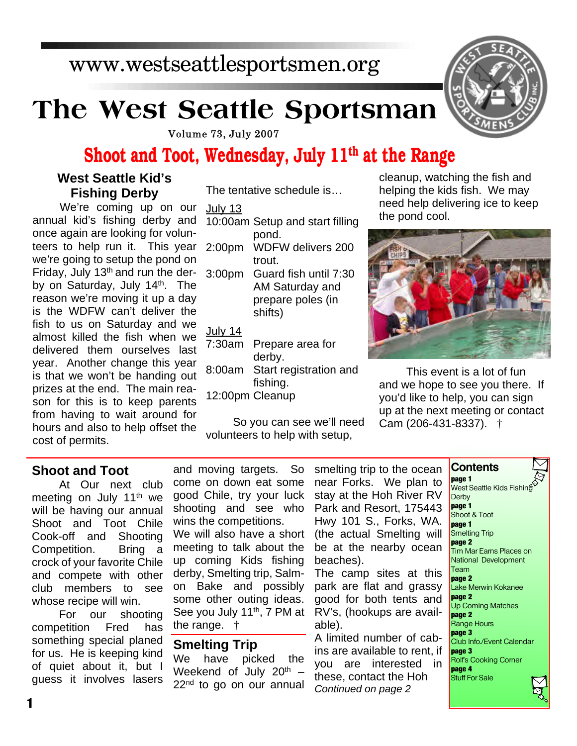### www.westseattlesportsmen.org

# **The West Seattle Sportsman**

Volume 73, July 2007

July 13

### **Shoot and Toot, Wednesday, July 11th at the Range**

The tentative schedule is…

#### **West Seattle Kid's Fishing Derby**

We're coming up on our annual kid's fishing derby and once again are looking for volunteers to help run it. This year we're going to setup the pond on Friday, July 13<sup>th</sup> and run the derby on Saturday, July  $14<sup>th</sup>$ . The reason we're moving it up a day is the WDFW can't deliver the fish to us on Saturday and we almost killed the fish when we delivered them ourselves last year. Another change this year is that we won't be handing out prizes at the end. The main reason for this is to keep parents from having to wait around for hours and also to help offset the cost of permits.

| JUIY IJ            |                                 |
|--------------------|---------------------------------|
|                    | 10:00am Setup and start filling |
|                    | pond.                           |
| 2:00 <sub>pm</sub> | <b>WDFW delivers 200</b>        |
|                    | trout.                          |
| 3:00 <sub>pm</sub> | Guard fish until 7:30           |
|                    | AM Saturday and                 |
|                    | prepare poles (in               |
|                    | shifts)                         |
| <u>July 14</u>     |                                 |
| 7:30am             | Prepare area for                |
|                    | derby.                          |
|                    |                                 |

8:00am Start registration and fishing. 12:00pm Cleanup

So you can see we'll need volunteers to help with setup,

cleanup, watching the fish and helping the kids fish. We may need help delivering ice to keep the pond cool.



This event is a lot of fun and we hope to see you there. If you'd like to help, you can sign up at the next meeting or contact Cam (206-431-8337). †

### **Shoot and Toot**

At Our next club meeting on July 11<sup>th</sup> we will be having our annual Shoot and Toot Chile Cook-off and Shooting Competition. Bring a crock of your favorite Chile and compete with other club members to see whose recipe will win.

For our shooting competition Fred has something special planed for us. He is keeping kind of quiet about it, but I guess it involves lasers and moving targets. So come on down eat some good Chile, try your luck shooting and see who wins the competitions. We will also have a short meeting to talk about the up coming Kids fishing derby, Smelting trip, Salmon Bake and possibly some other outing ideas. See you July 11<sup>th</sup>, 7 PM at the range. †

## **Smelting Trip**<br>We have pick

have picked the Weekend of July 20<sup>th</sup> - $22<sup>nd</sup>$  to go on our annual smelting trip to the ocean near Forks. We plan to stay at the Hoh River RV Park and Resort, 175443 Hwy 101 S., Forks, WA. (the actual Smelting will be at the nearby ocean beaches).

The camp sites at this park are flat and grassy good for both tents and RV's, (hookups are available).

A limited number of cabins are available to rent, if you are interested in these, contact the Hoh *Continued on page 2*

**Contents page 1**

west Seattle Kids Fishine **Derby page 1** Shoot & Toot **page 1** Smelting Trip **page 2** Tim Mar Earns Places on National Development Team **page 2** Lake Merwin Kokanee **page 2** Up Coming Matches **page 2** Range Hours **page 3** Club Info./Event Calendar **page 3** Rolf's Cooking Corner **page 4** Stuff For Sale

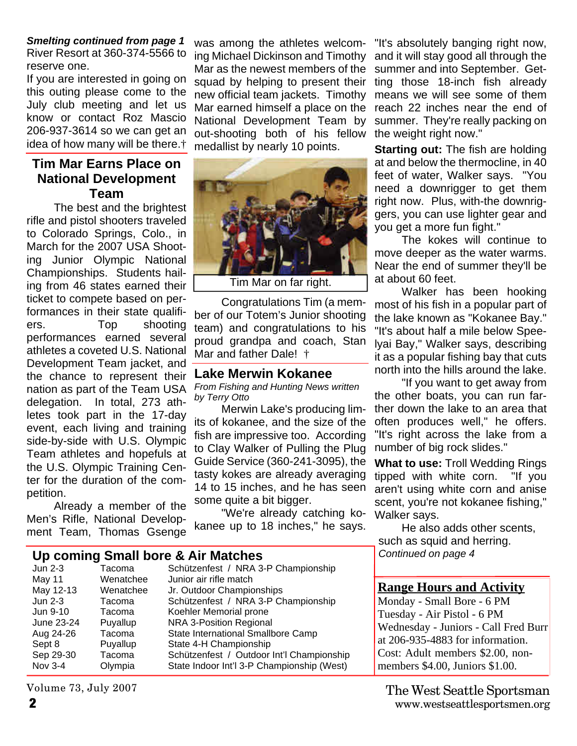#### *Smelting continued from page 1* River Resort at 360-374-5566 to reserve one.

If you are interested in going on this outing please come to the July club meeting and let us know or contact Roz Mascio 206-937-3614 so we can get an idea of how many will be there.†

#### **Tim Mar Earns Place on National Development Team**

The best and the brightest rifle and pistol shooters traveled to Colorado Springs, Colo., in March for the 2007 USA Shooting Junior Olympic National Championships. Students hailing from 46 states earned their ticket to compete based on performances in their state qualifiers. Top shooting performances earned several athletes a coveted U.S. National Development Team jacket, and the chance to represent their nation as part of the Team USA delegation. In total, 273 athletes took part in the 17-day event, each living and training side-by-side with U.S. Olympic Team athletes and hopefuls at the U.S. Olympic Training Center for the duration of the competition.

Already a member of the Men's Rifle, National Development Team, Thomas Gsenge

was among the athletes welcoming Michael Dickinson and Timothy Mar as the newest members of the squad by helping to present their new official team jackets. Timothy Mar earned himself a place on the National Development Team by out-shooting both of his fellow medallist by nearly 10 points.



Congratulations Tim (a member of our Totem's Junior shooting team) and congratulations to his proud grandpa and coach, Stan Mar and father Dale! †

#### **Lake Merwin Kokanee**

*by Terry Otto*

Merwin Lake's producing limits of kokanee, and the size of the fish are impressive too. According to Clay Walker of Pulling the Plug Guide Service (360-241-3095), the tasty kokes are already averaging 14 to 15 inches, and he has seen some quite a bit bigger.

"We're already catching kokanee up to 18 inches," he says.

**Up coming Small bore & Air Matches**

| Tacoma    | Schützenfest / NRA 3-P Championship        |
|-----------|--------------------------------------------|
| Wenatchee | Junior air rifle match                     |
| Wenatchee | Jr. Outdoor Championships                  |
| Tacoma    | Schützenfest / NRA 3-P Championship        |
| Tacoma    | Koehler Memorial prone                     |
| Puyallup  | NRA 3-Position Regional                    |
| Tacoma    | State International Smallbore Camp         |
| Puyallup  | State 4-H Championship                     |
| Tacoma    | Schützenfest / Outdoor Int'l Championship  |
| Olympia   | State Indoor Int'l 3-P Championship (West) |
|           |                                            |

Volume 73, July 2007

*From Fishing and Hunting News written*

"If you want to get away from the other boats, you can run farther down the lake to an area that often produces well," he offers. "It's right across the lake from a number of big rock slides."

**What to use:** Troll Wedding Rings tipped with white corn. "If you aren't using white corn and anise scent, you're not kokanee fishing," Walker says.

"It's absolutely banging right now, and it will stay good all through the summer and into September. Getting those 18-inch fish already means we will see some of them reach 22 inches near the end of summer. They're really packing on

**Starting out:** The fish are holding at and below the thermocline, in 40 feet of water, Walker says. "You need a downrigger to get them right now. Plus, with-the downriggers, you can use lighter gear and

The kokes will continue to

Walker has been hooking most of his fish in a popular part of the lake known as "Kokanee Bay." "It's about half a mile below Speelyai Bay," Walker says, describing it as a popular fishing bay that cuts north into the hills around the lake.

move deeper as the water warms. Near the end of summer they'll be

the weight right now."

you get a more fun fight."

at about 60 feet.

He also adds other scents, such as squid and herring. *Continued on page 4*

#### **Range Hours and Activity**

Monday - Small Bore - 6 PM Tuesday - Air Pistol - 6 PM Wednesday - Juniors - Call Fred Burr at 206-935-4883 for information. Cost: Adult members \$2.00, nonmembers \$4.00, Juniors \$1.00.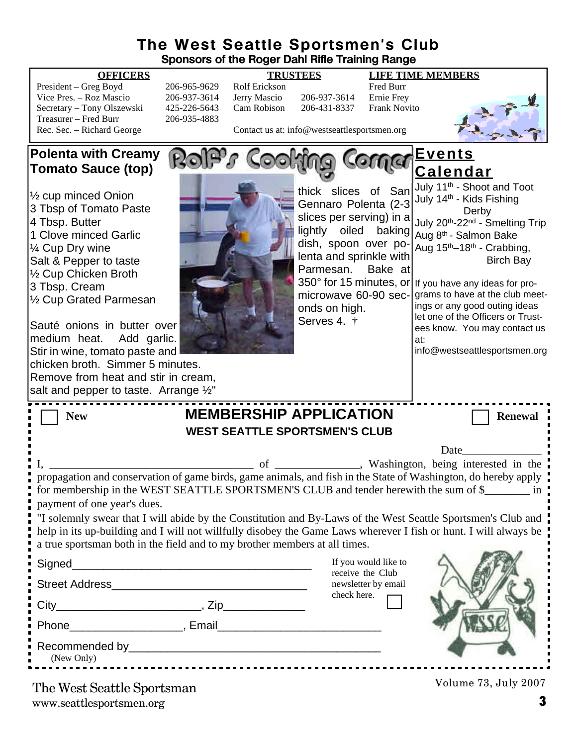### **The West Seattle Sportsmen's Club Sponsors of the Roger Dahl Rifle Training Range**

| 20t             |
|-----------------|
| 20 <sub>0</sub> |
| 42.             |
| 20t             |
|                 |
|                 |

**OFFICERS TRUSTEES LIFE TIME MEMBERS** President – Greg Boyd 206-965-9629 Rolf Erickson Fred Burr 6-937-3614 Jerry Mascio 206-937-3614 5-226-5643 Cam Robison 206-431-8337 Frank Novito f-935-4883



Contact us at: info@westseattlesportsmen.org

#### **Polenta with Creamy** RaiP's Cooking Corna **Events Tomato Sauce (top) Calendar** July 11<sup>th</sup> - Shoot and Toot thick slices of San ½ cup minced Onion July 14<sup>th</sup> - Kids Fishing Gennaro Polenta (2-3 3 Tbsp of Tomato Paste Derby slices per serving) in a 4 Tbsp. Butter July 20<sup>th</sup>-22<sup>nd</sup> - Smelting Trip lightly oiled baking 1 Clove minced Garlic Aug 8<sup>th</sup> - Salmon Bake dish, spoon over po-Aug 15th–18th - Crabbing, ¼ Cup Dry wine lenta and sprinkle with Birch Bay Salt & Pepper to taste Parmesan. Bake at ½ Cup Chicken Broth 350° for 15 minutes, or If you have any ideas for pro-3 Tbsp. Cream microwave 60-90 secgrams to have at the club meet-½ Cup Grated Parmesan ings or any good outing ideas onds on high. let one of the Officers or Trust-Serves 4. † Sauté onions in butter over ees know. You may contact us medium heat. Add garlic. at: Stir in wine, tomato paste and info@westseattlesportsmen.orgchicken broth. Simmer 5 minutes. Remove from heat and stir in cream, salt and pepper to taste. Arrange  $\frac{1}{2}$ " **New MEMBERSHIP APPLICATION** Renewal **WEST SEATTLE SPORTSMEN'S CLUB** Date I, Washington, being interested in the propagation and conservation of game birds, game animals, and fish in the State of Washington, do hereby apply for membership in the WEST SEATTLE SPORTSMEN'S CLUB and tender herewith the sum of \$\_\_\_\_\_\_\_\_\_ in payment of one year's dues. "I solemnly swear that I will abide by the Constitution and By-Laws of the West Seattle Sportsmen's Club and help in its up-building and I will not willfully disobey the Game Laws wherever I fish or hunt. I will always be a true sportsman both in the field and to my brother members at all times. If you would like to Signed receive the Club Street Address\_\_\_\_\_\_\_\_\_\_\_\_\_\_\_\_\_\_\_\_\_\_\_\_\_\_\_\_\_\_\_ newsletter by email check here.  $City$   $City$   $Zip$ Phone **Example 2**, Email Recommended by  $\Box$ (New Only) Volume 73, July 2007 The West Seattle Sportsman

www.seattlesportsmen.org **3**